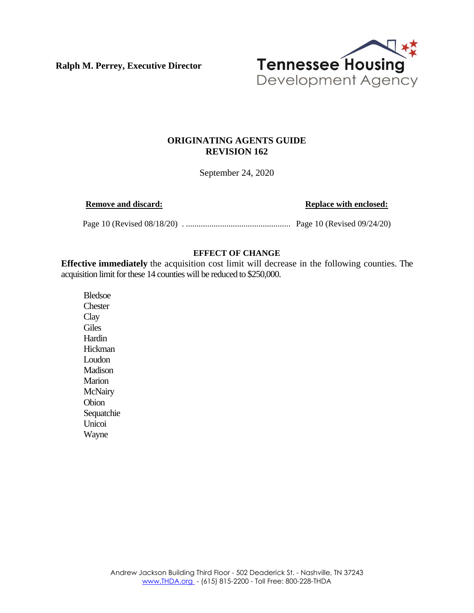**Ralph M. Perrey, Executive Director**



## **ORIGINATING AGENTS GUIDE REVISION 162**

September 24, 2020

**Remove and discard: Replace with enclosed: Replace with enclosed:** 

Page 10 (Revised 08/18/20) . ................................................. Page 10 (Revised 09/24/20)

## **EFFECT OF CHANGE**

**Effective immediately** the acquisition cost limit will decrease in the following counties. The acquisition limit for these 14 counties will be reduced to \$250,000.

Bledsoe **Chester Clay Giles** Hardin **Hickman** Loudon Madison Marion **McNairy** Obion Sequatchie Unicoi Wayne